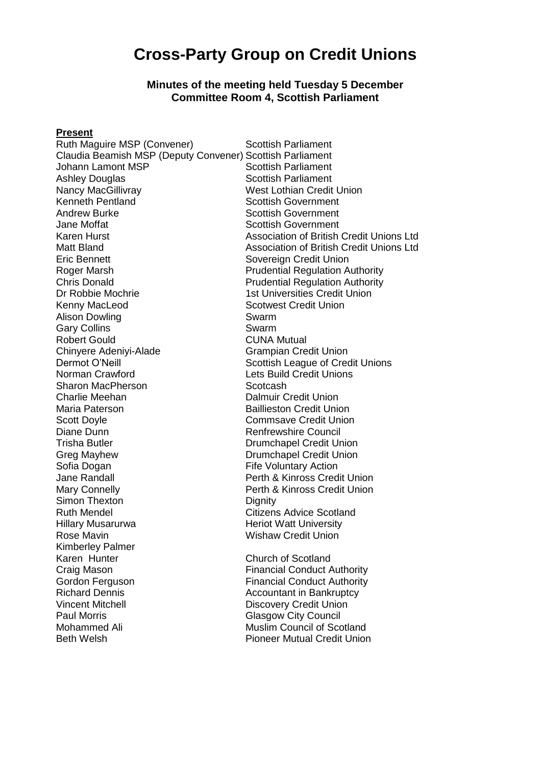# **Cross-Party Group on Credit Unions**

#### **Minutes of the meeting held Tuesday 5 December Committee Room 4, Scottish Parliament**

#### **Present**

Ruth Maguire MSP (Convener) Scottish Parliament Claudia Beamish MSP (Deputy Convener) Scottish Parliament Johann Lamont MSP Scottish Parliament Ashley Douglas **Scottish Parliament** Nancy MacGillivray West Lothian Credit Union Kenneth Pentland Scottish Government Andrew Burke **Andrew Burke Scottish Government**<br>Jane Moffat **Scottish Government** Jane Moffat<br>
Karen Hurst Scottish Government<br>
Karen Hurst Scottish Association of British Eric Bennett Sovereign Credit Union Dr Robbie Mochrie<br>
Kenny MacLeod<br>
Kenny MacLeod<br>
Cotwest Credit Union Alison Dowling **Swarm** Gary Collins **Swarm** Robert Gould **CUNA Mutual** Chinyere Adeniyi-Alade Grampian Credit Union Sharon MacPherson Scotcash<br>
Charlie Meehan Scotcash<br>
Charlie Meehan Maria Paterson Baillieston Credit Union Scott Doyle **Commsave Credit Union** Diane Dunn Renfrewshire Council<br>Trisha Butler Council Drumchapel Credit Ur Greg Mayhew Drumchapel Credit Union Sofia Dogan **Fife Voluntary Action** Jane Randall Perth & Kinross Credit Union Mary Connelly **Nationally Perth & Kinross Credit Union** Simon Thexton<br>Ruth Mendel New York Citizens Hillary Musarurwa **Heriot Watt University**<br>Rose Mavin Kimberley Palmer Karen Hunter **Church of Scotland** Craig Mason **Financial Conduct Authority** Gordon Ferguson **Financial Conduct Authority** Richard Dennis<br>
Vincent Mitchell<br>
Vincent Mitchell<br>
Vincent Mitchell Paul Morris **Council Paul Morris Glasgow City Council** Mohammed Ali **Muslim Council of Scotland** Beth Welsh Pioneer Mutual Credit Union

Association of British Credit Unions Ltd Matt Bland **Association of British Credit Unions Ltd** Roger Marsh **Prudential Regulation Authority** Chris Donald **Prudential Regulation Authority Scotwest Credit Union** Dermot O'Neill<br>
Norman Crawford<br>
Norman Crawford<br>
Scottish League of Credit Unions Lets Build Credit Unions Dalmuir Credit Union Drumchapel Credit Union **Citizens Advice Scotland Wishaw Credit Union** 

**Discovery Credit Union**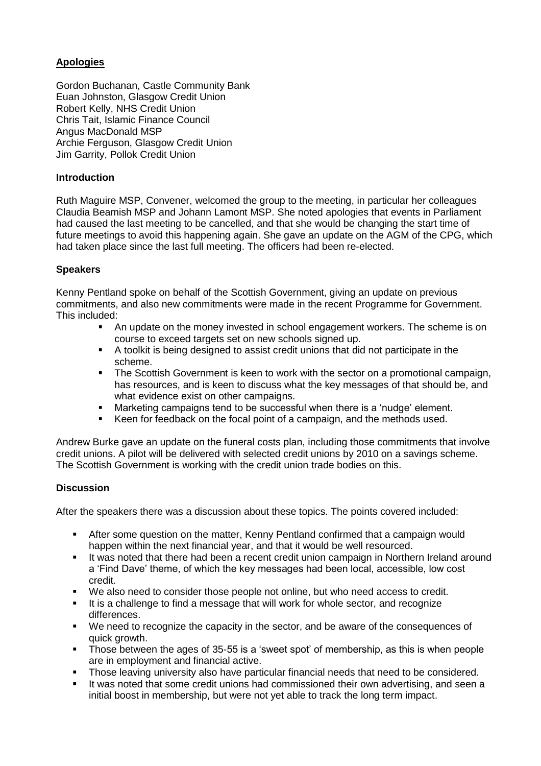## **Apologies**

Gordon Buchanan, Castle Community Bank Euan Johnston, Glasgow Credit Union Robert Kelly, NHS Credit Union Chris Tait, Islamic Finance Council Angus MacDonald MSP Archie Ferguson, Glasgow Credit Union Jim Garrity, Pollok Credit Union

#### **Introduction**

Ruth Maguire MSP, Convener, welcomed the group to the meeting, in particular her colleagues Claudia Beamish MSP and Johann Lamont MSP. She noted apologies that events in Parliament had caused the last meeting to be cancelled, and that she would be changing the start time of future meetings to avoid this happening again. She gave an update on the AGM of the CPG, which had taken place since the last full meeting. The officers had been re-elected.

#### **Speakers**

Kenny Pentland spoke on behalf of the Scottish Government, giving an update on previous commitments, and also new commitments were made in the recent Programme for Government. This included:

- An update on the money invested in school engagement workers. The scheme is on course to exceed targets set on new schools signed up.
- A toolkit is being designed to assist credit unions that did not participate in the scheme.
- The Scottish Government is keen to work with the sector on a promotional campaign, has resources, and is keen to discuss what the key messages of that should be, and what evidence exist on other campaigns.
- Marketing campaigns tend to be successful when there is a 'nudge' element.
- Keen for feedback on the focal point of a campaign, and the methods used.

Andrew Burke gave an update on the funeral costs plan, including those commitments that involve credit unions. A pilot will be delivered with selected credit unions by 2010 on a savings scheme. The Scottish Government is working with the credit union trade bodies on this.

## **Discussion**

After the speakers there was a discussion about these topics. The points covered included:

- After some question on the matter, Kenny Pentland confirmed that a campaign would happen within the next financial year, and that it would be well resourced.
- It was noted that there had been a recent credit union campaign in Northern Ireland around a 'Find Dave' theme, of which the key messages had been local, accessible, low cost credit.
- We also need to consider those people not online, but who need access to credit.
- It is a challenge to find a message that will work for whole sector, and recognize differences.
- We need to recognize the capacity in the sector, and be aware of the consequences of quick growth.
- Those between the ages of 35-55 is a 'sweet spot' of membership, as this is when people are in employment and financial active.
- Those leaving university also have particular financial needs that need to be considered.
- It was noted that some credit unions had commissioned their own advertising, and seen a initial boost in membership, but were not yet able to track the long term impact.